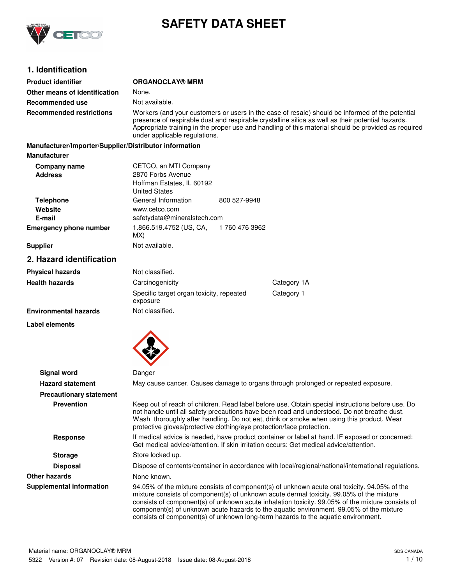

# **SAFETY DATA SHEET**

## **1. Identification**

| <b>Product identifier</b>                              | <b>ORGANOCLAY® MRM</b>                                                                                                                                                                                                                                                                                                                                                                                                                                                       |                |             |
|--------------------------------------------------------|------------------------------------------------------------------------------------------------------------------------------------------------------------------------------------------------------------------------------------------------------------------------------------------------------------------------------------------------------------------------------------------------------------------------------------------------------------------------------|----------------|-------------|
| Other means of identification                          | None.                                                                                                                                                                                                                                                                                                                                                                                                                                                                        |                |             |
| Recommended use                                        | Not available.                                                                                                                                                                                                                                                                                                                                                                                                                                                               |                |             |
| <b>Recommended restrictions</b>                        | Workers (and your customers or users in the case of resale) should be informed of the potential<br>presence of respirable dust and respirable crystalline silica as well as their potential hazards.<br>Appropriate training in the proper use and handling of this material should be provided as required<br>under applicable regulations.                                                                                                                                 |                |             |
| Manufacturer/Importer/Supplier/Distributor information |                                                                                                                                                                                                                                                                                                                                                                                                                                                                              |                |             |
| <b>Manufacturer</b>                                    |                                                                                                                                                                                                                                                                                                                                                                                                                                                                              |                |             |
| <b>Company name</b><br><b>Address</b>                  | CETCO, an MTI Company<br>2870 Forbs Avenue<br>Hoffman Estates, IL 60192<br><b>United States</b>                                                                                                                                                                                                                                                                                                                                                                              |                |             |
| <b>Telephone</b>                                       | General Information                                                                                                                                                                                                                                                                                                                                                                                                                                                          | 800 527-9948   |             |
| Website                                                | www.cetco.com                                                                                                                                                                                                                                                                                                                                                                                                                                                                |                |             |
| E-mail                                                 | safetydata@mineralstech.com                                                                                                                                                                                                                                                                                                                                                                                                                                                  |                |             |
| <b>Emergency phone number</b>                          | 1.866.519.4752 (US, CA,<br>MX)                                                                                                                                                                                                                                                                                                                                                                                                                                               | 1 760 476 3962 |             |
| <b>Supplier</b>                                        | Not available.                                                                                                                                                                                                                                                                                                                                                                                                                                                               |                |             |
| 2. Hazard identification                               |                                                                                                                                                                                                                                                                                                                                                                                                                                                                              |                |             |
| <b>Physical hazards</b>                                | Not classified.                                                                                                                                                                                                                                                                                                                                                                                                                                                              |                |             |
| <b>Health hazards</b>                                  | Carcinogenicity                                                                                                                                                                                                                                                                                                                                                                                                                                                              |                | Category 1A |
|                                                        | Specific target organ toxicity, repeated<br>exposure                                                                                                                                                                                                                                                                                                                                                                                                                         |                | Category 1  |
| <b>Environmental hazards</b>                           | Not classified.                                                                                                                                                                                                                                                                                                                                                                                                                                                              |                |             |
| Label elements                                         |                                                                                                                                                                                                                                                                                                                                                                                                                                                                              |                |             |
|                                                        |                                                                                                                                                                                                                                                                                                                                                                                                                                                                              |                |             |
| <b>Signal word</b><br><b>Hazard statement</b>          | Danger<br>May cause cancer. Causes damage to organs through prolonged or repeated exposure.                                                                                                                                                                                                                                                                                                                                                                                  |                |             |
|                                                        |                                                                                                                                                                                                                                                                                                                                                                                                                                                                              |                |             |
| <b>Precautionary statement</b><br><b>Prevention</b>    | Keep out of reach of children. Read label before use. Obtain special instructions before use. Do<br>not handle until all safety precautions have been read and understood. Do not breathe dust.<br>Wash thoroughly after handling. Do not eat, drink or smoke when using this product. Wear<br>protective gloves/protective clothing/eye protection/face protection.                                                                                                         |                |             |
| <b>Response</b>                                        | If medical advice is needed, have product container or label at hand. IF exposed or concerned:<br>Get medical advice/attention. If skin irritation occurs: Get medical advice/attention.                                                                                                                                                                                                                                                                                     |                |             |
| <b>Storage</b>                                         | Store locked up.                                                                                                                                                                                                                                                                                                                                                                                                                                                             |                |             |
| <b>Disposal</b>                                        | Dispose of contents/container in accordance with local/regional/national/international regulations.                                                                                                                                                                                                                                                                                                                                                                          |                |             |
| <b>Other hazards</b>                                   | None known.                                                                                                                                                                                                                                                                                                                                                                                                                                                                  |                |             |
| <b>Supplemental information</b>                        | 94.05% of the mixture consists of component(s) of unknown acute oral toxicity. 94.05% of the<br>mixture consists of component(s) of unknown acute dermal toxicity. 99.05% of the mixture<br>consists of component(s) of unknown acute inhalation toxicity. 99.05% of the mixture consists of<br>component(s) of unknown acute hazards to the aquatic environment. 99.05% of the mixture<br>consists of component(s) of unknown long-term hazards to the aquatic environment. |                |             |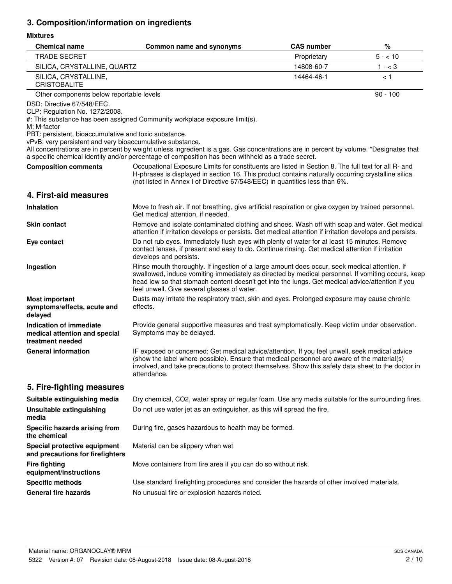# **3. Composition/information on ingredients**

## **Mixtures**

| <b>Chemical name</b>                                                                                                                                                                              | Common name and synonyms                                                                                                                                                                                                                                                                                                                              | <b>CAS number</b> | %          |
|---------------------------------------------------------------------------------------------------------------------------------------------------------------------------------------------------|-------------------------------------------------------------------------------------------------------------------------------------------------------------------------------------------------------------------------------------------------------------------------------------------------------------------------------------------------------|-------------------|------------|
| <b>TRADE SECRET</b>                                                                                                                                                                               |                                                                                                                                                                                                                                                                                                                                                       | Proprietary       | $5 - 10$   |
| SILICA, CRYSTALLINE, QUARTZ                                                                                                                                                                       |                                                                                                                                                                                                                                                                                                                                                       | 14808-60-7        | $1 - < 3$  |
| SILICA, CRYSTALLINE,<br><b>CRISTOBALITE</b>                                                                                                                                                       |                                                                                                                                                                                                                                                                                                                                                       | 14464-46-1        | < 1        |
| Other components below reportable levels                                                                                                                                                          |                                                                                                                                                                                                                                                                                                                                                       |                   | $90 - 100$ |
| DSD: Directive 67/548/EEC.<br>CLP: Regulation No. 1272/2008.<br>M: M-factor<br>PBT: persistent, bioaccumulative and toxic substance.<br>vPvB: very persistent and very bioaccumulative substance. | #: This substance has been assigned Community workplace exposure limit(s).<br>All concentrations are in percent by weight unless ingredient is a gas. Gas concentrations are in percent by volume. *Designates that<br>a specific chemical identity and/or percentage of composition has been withheld as a trade secret.                             |                   |            |
| <b>Composition comments</b>                                                                                                                                                                       | Occupational Exposure Limits for constituents are listed in Section 8. The full text for all R- and<br>H-phrases is displayed in section 16. This product contains naturally occurring crystalline silica<br>(not listed in Annex I of Directive 67/548/EEC) in quantities less than 6%.                                                              |                   |            |
| 4. First-aid measures                                                                                                                                                                             |                                                                                                                                                                                                                                                                                                                                                       |                   |            |
| <b>Inhalation</b>                                                                                                                                                                                 | Move to fresh air. If not breathing, give artificial respiration or give oxygen by trained personnel.<br>Get medical attention, if needed.                                                                                                                                                                                                            |                   |            |
| <b>Skin contact</b>                                                                                                                                                                               | Remove and isolate contaminated clothing and shoes. Wash off with soap and water. Get medical<br>attention if irritation develops or persists. Get medical attention if irritation develops and persists.                                                                                                                                             |                   |            |
| Eye contact                                                                                                                                                                                       | Do not rub eyes. Immediately flush eyes with plenty of water for at least 15 minutes. Remove<br>contact lenses, if present and easy to do. Continue rinsing. Get medical attention if irritation<br>develops and persists.                                                                                                                            |                   |            |
| Ingestion                                                                                                                                                                                         | Rinse mouth thoroughly. If ingestion of a large amount does occur, seek medical attention. If<br>swallowed, induce vomiting immediately as directed by medical personnel. If vomiting occurs, keep<br>head low so that stomach content doesn't get into the lungs. Get medical advice/attention if you<br>feel unwell. Give several glasses of water. |                   |            |
| <b>Most important</b><br>symptoms/effects, acute and<br>delayed                                                                                                                                   | Dusts may irritate the respiratory tract, skin and eyes. Prolonged exposure may cause chronic<br>effects.                                                                                                                                                                                                                                             |                   |            |
| <b>Indication of immediate</b><br>medical attention and special<br>treatment needed                                                                                                               | Provide general supportive measures and treat symptomatically. Keep victim under observation.<br>Symptoms may be delayed.                                                                                                                                                                                                                             |                   |            |
| <b>General information</b>                                                                                                                                                                        | IF exposed or concerned: Get medical advice/attention. If you feel unwell, seek medical advice<br>(show the label where possible). Ensure that medical personnel are aware of the material(s)<br>involved, and take precautions to protect themselves. Show this safety data sheet to the doctor in<br>attendance.                                    |                   |            |
| 5. Fire-fighting measures                                                                                                                                                                         |                                                                                                                                                                                                                                                                                                                                                       |                   |            |
| Suitable extinguishing media                                                                                                                                                                      | Dry chemical, CO2, water spray or regular foam. Use any media suitable for the surrounding fires.                                                                                                                                                                                                                                                     |                   |            |
| Unsuitable extinguishing<br>media                                                                                                                                                                 | Do not use water jet as an extinguisher, as this will spread the fire.                                                                                                                                                                                                                                                                                |                   |            |
| Specific hazards arising from<br>the chemical                                                                                                                                                     | During fire, gases hazardous to health may be formed.                                                                                                                                                                                                                                                                                                 |                   |            |
| Special protective equipment<br>and precautions for firefighters                                                                                                                                  | Material can be slippery when wet                                                                                                                                                                                                                                                                                                                     |                   |            |
| <b>Fire fighting</b><br>equipment/instructions                                                                                                                                                    | Move containers from fire area if you can do so without risk.                                                                                                                                                                                                                                                                                         |                   |            |
| <b>Specific methods</b>                                                                                                                                                                           | Use standard firefighting procedures and consider the hazards of other involved materials.                                                                                                                                                                                                                                                            |                   |            |
| <b>General fire hazards</b>                                                                                                                                                                       | No unusual fire or explosion hazards noted.                                                                                                                                                                                                                                                                                                           |                   |            |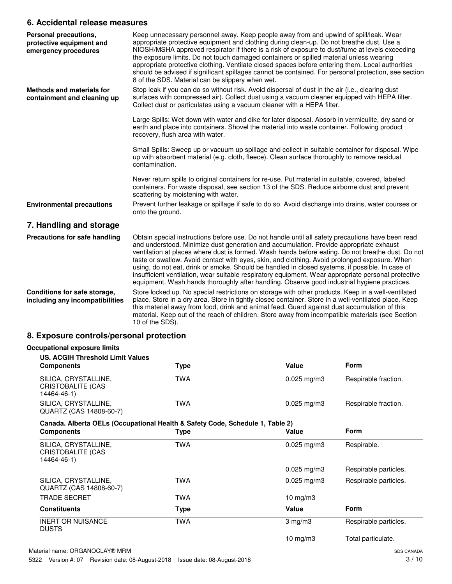## **6. Accidental release measures**

| Personal precautions,<br>protective equipment and<br>emergency procedures | Keep unnecessary personnel away. Keep people away from and upwind of spill/leak. Wear<br>appropriate protective equipment and clothing during clean-up. Do not breathe dust. Use a<br>NIOSH/MSHA approved respirator if there is a risk of exposure to dust/fume at levels exceeding<br>the exposure limits. Do not touch damaged containers or spilled material unless wearing<br>appropriate protective clothing. Ventilate closed spaces before entering them. Local authorities<br>should be advised if significant spillages cannot be contained. For personal protection, see section<br>8 of the SDS. Material can be slippery when wet.                                                            |
|---------------------------------------------------------------------------|------------------------------------------------------------------------------------------------------------------------------------------------------------------------------------------------------------------------------------------------------------------------------------------------------------------------------------------------------------------------------------------------------------------------------------------------------------------------------------------------------------------------------------------------------------------------------------------------------------------------------------------------------------------------------------------------------------|
| <b>Methods and materials for</b><br>containment and cleaning up           | Stop leak if you can do so without risk. Avoid dispersal of dust in the air (i.e., clearing dust<br>surfaces with compressed air). Collect dust using a vacuum cleaner equipped with HEPA filter.<br>Collect dust or particulates using a vacuum cleaner with a HEPA filter.                                                                                                                                                                                                                                                                                                                                                                                                                               |
|                                                                           | Large Spills: Wet down with water and dike for later disposal. Absorb in vermiculite, dry sand or<br>earth and place into containers. Shovel the material into waste container. Following product<br>recovery, flush area with water.                                                                                                                                                                                                                                                                                                                                                                                                                                                                      |
|                                                                           | Small Spills: Sweep up or vacuum up spillage and collect in suitable container for disposal. Wipe<br>up with absorbent material (e.g. cloth, fleece). Clean surface thoroughly to remove residual<br>contamination.                                                                                                                                                                                                                                                                                                                                                                                                                                                                                        |
|                                                                           | Never return spills to original containers for re-use. Put material in suitable, covered, labeled<br>containers. For waste disposal, see section 13 of the SDS. Reduce airborne dust and prevent<br>scattering by moistening with water.                                                                                                                                                                                                                                                                                                                                                                                                                                                                   |
| <b>Environmental precautions</b>                                          | Prevent further leakage or spillage if safe to do so. Avoid discharge into drains, water courses or<br>onto the ground.                                                                                                                                                                                                                                                                                                                                                                                                                                                                                                                                                                                    |
| 7. Handling and storage                                                   |                                                                                                                                                                                                                                                                                                                                                                                                                                                                                                                                                                                                                                                                                                            |
| Precautions for safe handling                                             | Obtain special instructions before use. Do not handle until all safety precautions have been read<br>and understood. Minimize dust generation and accumulation. Provide appropriate exhaust<br>ventilation at places where dust is formed. Wash hands before eating. Do not breathe dust. Do not<br>taste or swallow. Avoid contact with eyes, skin, and clothing. Avoid prolonged exposure. When<br>using, do not eat, drink or smoke. Should be handled in closed systems, if possible. In case of<br>insufficient ventilation, wear suitable respiratory equipment. Wear appropriate personal protective<br>equipment. Wash hands thoroughly after handling. Observe good industrial hygiene practices. |
| Conditions for safe storage,<br>including any incompatibilities           | Store locked up. No special restrictions on storage with other products. Keep in a well-ventilated<br>place. Store in a dry area. Store in tightly closed container. Store in a well-ventilated place. Keep<br>this material away from food, drink and animal feed. Guard against dust accumulation of this<br>material. Keep out of the reach of children. Store away from incompatible materials (see Section<br>10 of the SDS).                                                                                                                                                                                                                                                                         |

## **8. Exposure controls/personal protection**

| <b>US. ACGIH Threshold Limit Values</b><br><b>Components</b>                  | Type        | Value                   | <b>Form</b>           |
|-------------------------------------------------------------------------------|-------------|-------------------------|-----------------------|
| SILICA, CRYSTALLINE,<br>CRISTOBALITE (CAS<br>14464-46-1)                      | <b>TWA</b>  | $0.025$ mg/m3           | Respirable fraction.  |
| SILICA, CRYSTALLINE,<br>QUARTZ (CAS 14808-60-7)                               | <b>TWA</b>  | $0.025 \,\mathrm{mg/m}$ | Respirable fraction.  |
| Canada. Alberta OELs (Occupational Health & Safety Code, Schedule 1, Table 2) |             |                         |                       |
| <b>Components</b>                                                             | <b>Type</b> | Value                   | <b>Form</b>           |
| SILICA, CRYSTALLINE,<br>CRISTOBALITE (CAS<br>14464-46-1)                      | <b>TWA</b>  | $0.025$ mg/m3           | Respirable.           |
|                                                                               |             | $0.025 \,\mathrm{mg/m}$ | Respirable particles. |
| SILICA, CRYSTALLINE,<br>QUARTZ (CAS 14808-60-7)                               | <b>TWA</b>  | $0.025$ mg/m3           | Respirable particles. |
| <b>TRADE SECRET</b>                                                           | <b>TWA</b>  | $10$ mg/m $3$           |                       |
| <b>Constituents</b>                                                           | <b>Type</b> | Value                   | <b>Form</b>           |
| <b>INERT OR NUISANCE</b><br><b>DUSTS</b>                                      | <b>TWA</b>  | $3 \text{ mg/m}$        | Respirable particles. |
|                                                                               |             | $10 \text{ mg/m}$       | Total particulate.    |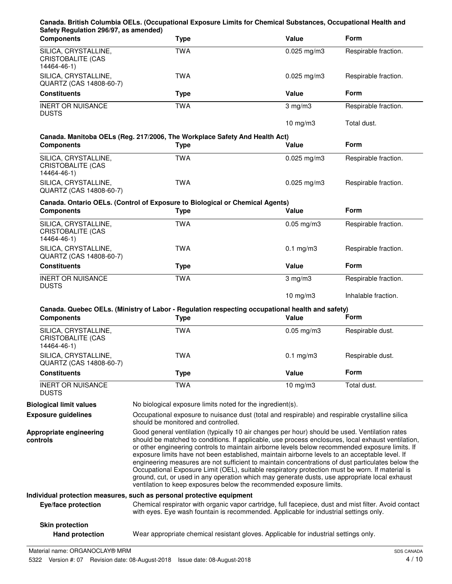| Safety Regulation 296/97, as amended)<br><b>Components</b>      | <b>Type</b>                                                                                                                                                                                                                                                                                                                                                                                                                                                                                                                                                                                                                                                                                                                                                                                | Value            | <b>Form</b>          |
|-----------------------------------------------------------------|--------------------------------------------------------------------------------------------------------------------------------------------------------------------------------------------------------------------------------------------------------------------------------------------------------------------------------------------------------------------------------------------------------------------------------------------------------------------------------------------------------------------------------------------------------------------------------------------------------------------------------------------------------------------------------------------------------------------------------------------------------------------------------------------|------------------|----------------------|
| SILICA, CRYSTALLINE,<br><b>CRISTOBALITE (CAS</b><br>14464-46-1) | <b>TWA</b>                                                                                                                                                                                                                                                                                                                                                                                                                                                                                                                                                                                                                                                                                                                                                                                 | $0.025$ mg/m3    | Respirable fraction. |
| SILICA, CRYSTALLINE,<br>QUARTZ (CAS 14808-60-7)                 | <b>TWA</b>                                                                                                                                                                                                                                                                                                                                                                                                                                                                                                                                                                                                                                                                                                                                                                                 | $0.025$ mg/m3    | Respirable fraction. |
| <b>Constituents</b>                                             | <b>Type</b>                                                                                                                                                                                                                                                                                                                                                                                                                                                                                                                                                                                                                                                                                                                                                                                | Value            | Form                 |
| <b>INERT OR NUISANCE</b><br><b>DUSTS</b>                        | <b>TWA</b>                                                                                                                                                                                                                                                                                                                                                                                                                                                                                                                                                                                                                                                                                                                                                                                 | $3 \text{ mg/m}$ | Respirable fraction. |
|                                                                 |                                                                                                                                                                                                                                                                                                                                                                                                                                                                                                                                                                                                                                                                                                                                                                                            | $10$ mg/m $3$    | Total dust.          |
| <b>Components</b>                                               | Canada. Manitoba OELs (Reg. 217/2006, The Workplace Safety And Health Act)<br><b>Type</b>                                                                                                                                                                                                                                                                                                                                                                                                                                                                                                                                                                                                                                                                                                  | Value            | Form                 |
| SILICA, CRYSTALLINE,<br><b>CRISTOBALITE (CAS</b><br>14464-46-1) | <b>TWA</b>                                                                                                                                                                                                                                                                                                                                                                                                                                                                                                                                                                                                                                                                                                                                                                                 | $0.025$ mg/m3    | Respirable fraction. |
| SILICA, CRYSTALLINE,<br>QUARTZ (CAS 14808-60-7)                 | <b>TWA</b>                                                                                                                                                                                                                                                                                                                                                                                                                                                                                                                                                                                                                                                                                                                                                                                 | $0.025$ mg/m3    | Respirable fraction. |
| <b>Components</b>                                               | Canada. Ontario OELs. (Control of Exposure to Biological or Chemical Agents)<br><b>Type</b>                                                                                                                                                                                                                                                                                                                                                                                                                                                                                                                                                                                                                                                                                                | Value            | <b>Form</b>          |
| SILICA, CRYSTALLINE,<br><b>CRISTOBALITE (CAS</b><br>14464-46-1) | <b>TWA</b>                                                                                                                                                                                                                                                                                                                                                                                                                                                                                                                                                                                                                                                                                                                                                                                 | $0.05$ mg/m $3$  | Respirable fraction. |
| SILICA, CRYSTALLINE,<br>QUARTZ (CAS 14808-60-7)                 | <b>TWA</b>                                                                                                                                                                                                                                                                                                                                                                                                                                                                                                                                                                                                                                                                                                                                                                                 | $0.1$ mg/m $3$   | Respirable fraction. |
| <b>Constituents</b>                                             | <b>Type</b>                                                                                                                                                                                                                                                                                                                                                                                                                                                                                                                                                                                                                                                                                                                                                                                | Value            | <b>Form</b>          |
| <b>INERT OR NUISANCE</b><br><b>DUSTS</b>                        | <b>TWA</b>                                                                                                                                                                                                                                                                                                                                                                                                                                                                                                                                                                                                                                                                                                                                                                                 | $3 \text{ mg/m}$ | Respirable fraction. |
|                                                                 |                                                                                                                                                                                                                                                                                                                                                                                                                                                                                                                                                                                                                                                                                                                                                                                            | 10 $mg/m3$       | Inhalable fraction.  |
| <b>Components</b>                                               | Canada. Quebec OELs. (Ministry of Labor - Regulation respecting occupational health and safety)<br><b>Type</b>                                                                                                                                                                                                                                                                                                                                                                                                                                                                                                                                                                                                                                                                             | Value            | Form                 |
| SILICA, CRYSTALLINE,<br><b>CRISTOBALITE (CAS</b><br>14464-46-1) | <b>TWA</b>                                                                                                                                                                                                                                                                                                                                                                                                                                                                                                                                                                                                                                                                                                                                                                                 | $0.05$ mg/m $3$  | Respirable dust.     |
| SILICA, CRYSTALLINE,<br>QUARTZ (CAS 14808-60-7)                 | <b>TWA</b>                                                                                                                                                                                                                                                                                                                                                                                                                                                                                                                                                                                                                                                                                                                                                                                 | $0.1$ mg/m $3$   | Respirable dust.     |
| <b>Constituents</b>                                             | <b>Type</b>                                                                                                                                                                                                                                                                                                                                                                                                                                                                                                                                                                                                                                                                                                                                                                                | Value            | Form                 |
| <b>INERT OR NUISANCE</b><br><b>DUSTS</b>                        | <b>TWA</b>                                                                                                                                                                                                                                                                                                                                                                                                                                                                                                                                                                                                                                                                                                                                                                                 | $10$ mg/m $3$    | Total dust.          |
| <b>Biological limit values</b>                                  | No biological exposure limits noted for the ingredient(s).                                                                                                                                                                                                                                                                                                                                                                                                                                                                                                                                                                                                                                                                                                                                 |                  |                      |
| <b>Exposure guidelines</b>                                      | Occupational exposure to nuisance dust (total and respirable) and respirable crystalline silica<br>should be monitored and controlled.                                                                                                                                                                                                                                                                                                                                                                                                                                                                                                                                                                                                                                                     |                  |                      |
| Appropriate engineering<br>controls                             | Good general ventilation (typically 10 air changes per hour) should be used. Ventilation rates<br>should be matched to conditions. If applicable, use process enclosures, local exhaust ventilation,<br>or other engineering controls to maintain airborne levels below recommended exposure limits. If<br>exposure limits have not been established, maintain airborne levels to an acceptable level. If<br>engineering measures are not sufficient to maintain concentrations of dust particulates below the<br>Occupational Exposure Limit (OEL), suitable respiratory protection must be worn. If material is<br>ground, cut, or used in any operation which may generate dusts, use appropriate local exhaust<br>ventilation to keep exposures below the recommended exposure limits. |                  |                      |
|                                                                 | Individual protection measures, such as personal protective equipment                                                                                                                                                                                                                                                                                                                                                                                                                                                                                                                                                                                                                                                                                                                      |                  |                      |
| Eye/face protection                                             | Chemical respirator with organic vapor cartridge, full facepiece, dust and mist filter. Avoid contact<br>with eyes. Eye wash fountain is recommended. Applicable for industrial settings only.                                                                                                                                                                                                                                                                                                                                                                                                                                                                                                                                                                                             |                  |                      |
| <b>Skin protection</b>                                          |                                                                                                                                                                                                                                                                                                                                                                                                                                                                                                                                                                                                                                                                                                                                                                                            |                  |                      |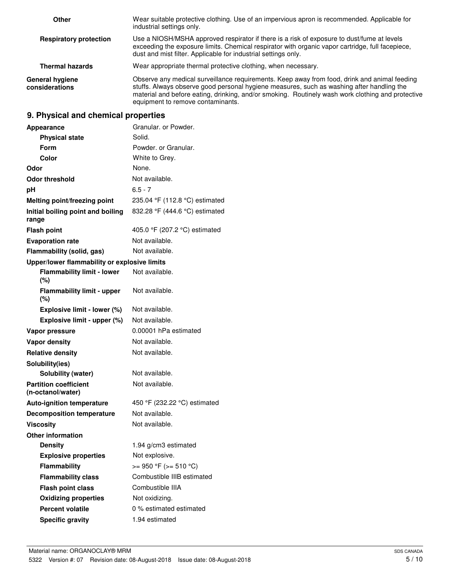| Other                                    | Wear suitable protective clothing. Use of an impervious apron is recommended. Applicable for<br>industrial settings only.                                                                                                                                                                                                           |  |
|------------------------------------------|-------------------------------------------------------------------------------------------------------------------------------------------------------------------------------------------------------------------------------------------------------------------------------------------------------------------------------------|--|
| <b>Respiratory protection</b>            | Use a NIOSH/MSHA approved respirator if there is a risk of exposure to dust/fume at levels<br>exceeding the exposure limits. Chemical respirator with organic vapor cartridge, full facepiece,<br>dust and mist filter. Applicable for industrial settings only.                                                                    |  |
| <b>Thermal hazards</b>                   | Wear appropriate thermal protective clothing, when necessary.                                                                                                                                                                                                                                                                       |  |
| <b>General hygiene</b><br>considerations | Observe any medical surveillance requirements. Keep away from food, drink and animal feeding<br>stuffs. Always observe good personal hygiene measures, such as washing after handling the<br>material and before eating, drinking, and/or smoking. Routinely wash work clothing and protective<br>equipment to remove contaminants. |  |

# **9. Physical and chemical properties**

| <b>Appearance</b>                                 | Granular, or Powder,           |
|---------------------------------------------------|--------------------------------|
| <b>Physical state</b>                             | Solid.                         |
| Form                                              | Powder, or Granular.           |
| Color                                             | White to Grey.                 |
| Odor                                              | None.                          |
| Odor threshold                                    | Not available.                 |
| рH                                                | $6.5 - 7$                      |
| Melting point/freezing point                      | 235.04 °F (112.8 °C) estimated |
| Initial boiling point and boiling<br>range        | 832.28 °F (444.6 °C) estimated |
| <b>Flash point</b>                                | 405.0 °F (207.2 °C) estimated  |
| <b>Evaporation rate</b>                           | Not available.                 |
| Flammability (solid, gas)                         | Not available.                 |
| Upper/lower flammability or explosive limits      |                                |
| <b>Flammability limit - lower</b><br>(%)          | Not available.                 |
| <b>Flammability limit - upper</b><br>(%)          | Not available.                 |
| Explosive limit - lower (%)                       | Not available.                 |
| Explosive limit - upper (%)                       | Not available.                 |
| Vapor pressure                                    | 0.00001 hPa estimated          |
| <b>Vapor density</b>                              | Not available.                 |
| <b>Relative density</b>                           | Not available.                 |
| Solubility(ies)                                   |                                |
| Solubility (water)                                | Not available.                 |
| <b>Partition coefficient</b><br>(n-octanol/water) | Not available.                 |
| <b>Auto-ignition temperature</b>                  | 450 °F (232.22 °C) estimated   |
| <b>Decomposition temperature</b>                  | Not available.                 |
| <b>Viscosity</b>                                  | Not available.                 |
| <b>Other information</b>                          |                                |
| <b>Density</b>                                    | 1.94 g/cm3 estimated           |
| <b>Explosive properties</b>                       | Not explosive.                 |
| Flammability                                      | $>= 950 °F (= 510 °C)$         |
| <b>Flammability class</b>                         | Combustible IIIB estimated     |
| <b>Flash point class</b>                          | Combustible IIIA               |
| <b>Oxidizing properties</b>                       | Not oxidizing.                 |
| <b>Percent volatile</b>                           | 0 % estimated estimated        |
| <b>Specific gravity</b>                           | 1.94 estimated                 |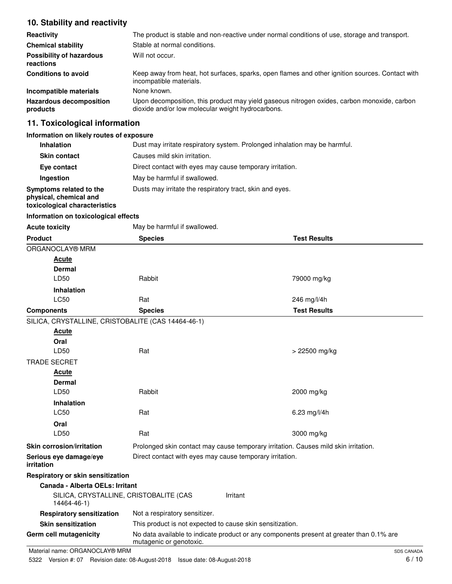## **10. Stability and reactivity**

| Reactivity                                   | The product is stable and non-reactive under normal conditions of use, storage and transport.                                                    |
|----------------------------------------------|--------------------------------------------------------------------------------------------------------------------------------------------------|
| <b>Chemical stability</b>                    | Stable at normal conditions.                                                                                                                     |
| <b>Possibility of hazardous</b><br>reactions | Will not occur.                                                                                                                                  |
| <b>Conditions to avoid</b>                   | Keep away from heat, hot surfaces, sparks, open flames and other ignition sources. Contact with<br>incompatible materials.                       |
| Incompatible materials                       | None known.                                                                                                                                      |
| <b>Hazardous decomposition</b><br>products   | Upon decomposition, this product may yield gaseous nitrogen oxides, carbon monoxide, carbon<br>dioxide and/or low molecular weight hydrocarbons. |

# **11. Toxicological information**

## **Information on likely routes of exposure**

| <b>Inhalation</b>                                                                  | Dust may irritate respiratory system. Prolonged inhalation may be harmful. |
|------------------------------------------------------------------------------------|----------------------------------------------------------------------------|
| <b>Skin contact</b>                                                                | Causes mild skin irritation.                                               |
| Eye contact                                                                        | Direct contact with eyes may cause temporary irritation.                   |
| Ingestion                                                                          | May be harmful if swallowed.                                               |
| Symptoms related to the<br>physical, chemical and<br>toxicological characteristics | Dusts may irritate the respiratory tract, skin and eyes.                   |

### **Information on toxicological effects**

| <b>Acute toxicity</b>                              | May be harmful if swallowed.                                                                                        |                                                                                     |                     |
|----------------------------------------------------|---------------------------------------------------------------------------------------------------------------------|-------------------------------------------------------------------------------------|---------------------|
| <b>Product</b>                                     | <b>Species</b>                                                                                                      |                                                                                     | <b>Test Results</b> |
| ORGANOCLAY® MRM                                    |                                                                                                                     |                                                                                     |                     |
| <b>Acute</b>                                       |                                                                                                                     |                                                                                     |                     |
| Dermal                                             |                                                                                                                     |                                                                                     |                     |
| LD50                                               | Rabbit                                                                                                              |                                                                                     | 79000 mg/kg         |
| <b>Inhalation</b>                                  |                                                                                                                     |                                                                                     |                     |
| LC50                                               | Rat                                                                                                                 |                                                                                     | 246 mg/l/4h         |
| <b>Components</b>                                  | <b>Species</b>                                                                                                      |                                                                                     | <b>Test Results</b> |
| SILICA, CRYSTALLINE, CRISTOBALITE (CAS 14464-46-1) |                                                                                                                     |                                                                                     |                     |
| <b>Acute</b>                                       |                                                                                                                     |                                                                                     |                     |
| Oral                                               |                                                                                                                     |                                                                                     |                     |
| LD50                                               | Rat                                                                                                                 |                                                                                     | $> 22500$ mg/kg     |
| <b>TRADE SECRET</b>                                |                                                                                                                     |                                                                                     |                     |
| <b>Acute</b>                                       |                                                                                                                     |                                                                                     |                     |
| <b>Dermal</b>                                      |                                                                                                                     |                                                                                     |                     |
| LD50                                               | Rabbit                                                                                                              |                                                                                     | 2000 mg/kg          |
| Inhalation                                         |                                                                                                                     |                                                                                     |                     |
| <b>LC50</b>                                        | Rat                                                                                                                 |                                                                                     | 6.23 mg/l/4h        |
| Oral                                               |                                                                                                                     |                                                                                     |                     |
| LD50                                               | Rat                                                                                                                 |                                                                                     | 3000 mg/kg          |
| Skin corrosion/irritation                          |                                                                                                                     | Prolonged skin contact may cause temporary irritation. Causes mild skin irritation. |                     |
| Serious eye damage/eye<br>irritation               | Direct contact with eyes may cause temporary irritation.                                                            |                                                                                     |                     |
| <b>Respiratory or skin sensitization</b>           |                                                                                                                     |                                                                                     |                     |
| Canada - Alberta OELs: Irritant                    |                                                                                                                     |                                                                                     |                     |
| 14464-46-1)                                        | SILICA, CRYSTALLINE, CRISTOBALITE (CAS                                                                              | Irritant                                                                            |                     |
| <b>Respiratory sensitization</b>                   | Not a respiratory sensitizer.                                                                                       |                                                                                     |                     |
| <b>Skin sensitization</b>                          |                                                                                                                     | This product is not expected to cause skin sensitization.                           |                     |
| Germ cell mutagenicity                             | No data available to indicate product or any components present at greater than 0.1% are<br>mutagenic or genotoxic. |                                                                                     |                     |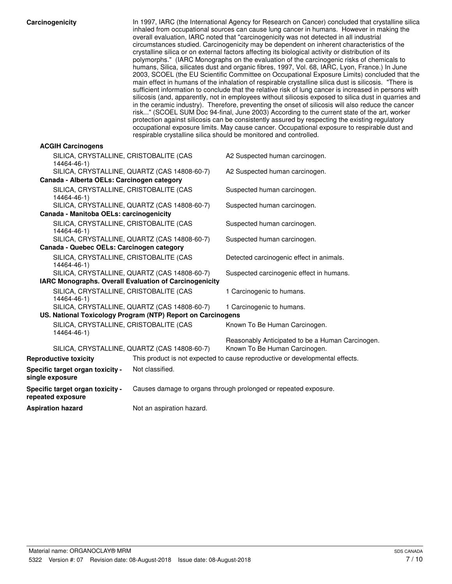|  | Carcinogenicity |  |
|--|-----------------|--|
|  |                 |  |

| Carcinogenicity                                        |                                                             | In 1997, IARC (the International Agency for Research on Cancer) concluded that crystalline silica<br>inhaled from occupational sources can cause lung cancer in humans. However in making the<br>overall evaluation, IARC noted that "carcinogenicity was not detected in all industrial<br>circumstances studied. Carcinogenicity may be dependent on inherent characteristics of the<br>crystalline silica or on external factors affecting its biological activity or distribution of its<br>polymorphs." (IARC Monographs on the evaluation of the carcinogenic risks of chemicals to<br>humans, Silica, silicates dust and organic fibres, 1997, Vol. 68, IARC, Lyon, France.) In June<br>2003, SCOEL (the EU Scientific Committee on Occupational Exposure Limits) concluded that the<br>main effect in humans of the inhalation of respirable crystalline silica dust is silicosis. "There is<br>sufficient information to conclude that the relative risk of lung cancer is increased in persons with<br>silicosis (and, apparently, not in employees without silicosis exposed to silica dust in quarries and<br>in the ceramic industry). Therefore, preventing the onset of silicosis will also reduce the cancer<br>risk" (SCOEL SUM Doc 94-final, June 2003) According to the current state of the art, worker<br>protection against silicosis can be consistently assured by respecting the existing regulatory<br>occupational exposure limits. May cause cancer. Occupational exposure to respirable dust and<br>respirable crystalline silica should be monitored and controlled. |
|--------------------------------------------------------|-------------------------------------------------------------|----------------------------------------------------------------------------------------------------------------------------------------------------------------------------------------------------------------------------------------------------------------------------------------------------------------------------------------------------------------------------------------------------------------------------------------------------------------------------------------------------------------------------------------------------------------------------------------------------------------------------------------------------------------------------------------------------------------------------------------------------------------------------------------------------------------------------------------------------------------------------------------------------------------------------------------------------------------------------------------------------------------------------------------------------------------------------------------------------------------------------------------------------------------------------------------------------------------------------------------------------------------------------------------------------------------------------------------------------------------------------------------------------------------------------------------------------------------------------------------------------------------------------------------------------------------------------------------------------|
| <b>ACGIH Carcinogens</b>                               |                                                             |                                                                                                                                                                                                                                                                                                                                                                                                                                                                                                                                                                                                                                                                                                                                                                                                                                                                                                                                                                                                                                                                                                                                                                                                                                                                                                                                                                                                                                                                                                                                                                                                    |
| SILICA, CRYSTALLINE, CRISTOBALITE (CAS<br>14464-46-1)  |                                                             | A2 Suspected human carcinogen.                                                                                                                                                                                                                                                                                                                                                                                                                                                                                                                                                                                                                                                                                                                                                                                                                                                                                                                                                                                                                                                                                                                                                                                                                                                                                                                                                                                                                                                                                                                                                                     |
|                                                        | SILICA, CRYSTALLINE, QUARTZ (CAS 14808-60-7)                | A2 Suspected human carcinogen.                                                                                                                                                                                                                                                                                                                                                                                                                                                                                                                                                                                                                                                                                                                                                                                                                                                                                                                                                                                                                                                                                                                                                                                                                                                                                                                                                                                                                                                                                                                                                                     |
| Canada - Alberta OELs: Carcinogen category             |                                                             |                                                                                                                                                                                                                                                                                                                                                                                                                                                                                                                                                                                                                                                                                                                                                                                                                                                                                                                                                                                                                                                                                                                                                                                                                                                                                                                                                                                                                                                                                                                                                                                                    |
| SILICA, CRYSTALLINE, CRISTOBALITE (CAS<br>14464-46-1)  |                                                             | Suspected human carcinogen.                                                                                                                                                                                                                                                                                                                                                                                                                                                                                                                                                                                                                                                                                                                                                                                                                                                                                                                                                                                                                                                                                                                                                                                                                                                                                                                                                                                                                                                                                                                                                                        |
|                                                        | SILICA, CRYSTALLINE, QUARTZ (CAS 14808-60-7)                | Suspected human carcinogen.                                                                                                                                                                                                                                                                                                                                                                                                                                                                                                                                                                                                                                                                                                                                                                                                                                                                                                                                                                                                                                                                                                                                                                                                                                                                                                                                                                                                                                                                                                                                                                        |
| Canada - Manitoba OELs: carcinogenicity                |                                                             |                                                                                                                                                                                                                                                                                                                                                                                                                                                                                                                                                                                                                                                                                                                                                                                                                                                                                                                                                                                                                                                                                                                                                                                                                                                                                                                                                                                                                                                                                                                                                                                                    |
| SILICA, CRYSTALLINE, CRISTOBALITE (CAS<br>14464-46-1)  |                                                             | Suspected human carcinogen.                                                                                                                                                                                                                                                                                                                                                                                                                                                                                                                                                                                                                                                                                                                                                                                                                                                                                                                                                                                                                                                                                                                                                                                                                                                                                                                                                                                                                                                                                                                                                                        |
|                                                        | SILICA, CRYSTALLINE, QUARTZ (CAS 14808-60-7)                | Suspected human carcinogen.                                                                                                                                                                                                                                                                                                                                                                                                                                                                                                                                                                                                                                                                                                                                                                                                                                                                                                                                                                                                                                                                                                                                                                                                                                                                                                                                                                                                                                                                                                                                                                        |
| Canada - Quebec OELs: Carcinogen category              |                                                             |                                                                                                                                                                                                                                                                                                                                                                                                                                                                                                                                                                                                                                                                                                                                                                                                                                                                                                                                                                                                                                                                                                                                                                                                                                                                                                                                                                                                                                                                                                                                                                                                    |
| SILICA, CRYSTALLINE, CRISTOBALITE (CAS<br>14464-46-1)  |                                                             | Detected carcinogenic effect in animals.                                                                                                                                                                                                                                                                                                                                                                                                                                                                                                                                                                                                                                                                                                                                                                                                                                                                                                                                                                                                                                                                                                                                                                                                                                                                                                                                                                                                                                                                                                                                                           |
|                                                        | SILICA, CRYSTALLINE, QUARTZ (CAS 14808-60-7)                | Suspected carcinogenic effect in humans.                                                                                                                                                                                                                                                                                                                                                                                                                                                                                                                                                                                                                                                                                                                                                                                                                                                                                                                                                                                                                                                                                                                                                                                                                                                                                                                                                                                                                                                                                                                                                           |
| IARC Monographs. Overall Evaluation of Carcinogenicity |                                                             |                                                                                                                                                                                                                                                                                                                                                                                                                                                                                                                                                                                                                                                                                                                                                                                                                                                                                                                                                                                                                                                                                                                                                                                                                                                                                                                                                                                                                                                                                                                                                                                                    |
| SILICA, CRYSTALLINE, CRISTOBALITE (CAS<br>14464-46-1)  |                                                             | 1 Carcinogenic to humans.                                                                                                                                                                                                                                                                                                                                                                                                                                                                                                                                                                                                                                                                                                                                                                                                                                                                                                                                                                                                                                                                                                                                                                                                                                                                                                                                                                                                                                                                                                                                                                          |
|                                                        | SILICA, CRYSTALLINE, QUARTZ (CAS 14808-60-7)                | 1 Carcinogenic to humans.                                                                                                                                                                                                                                                                                                                                                                                                                                                                                                                                                                                                                                                                                                                                                                                                                                                                                                                                                                                                                                                                                                                                                                                                                                                                                                                                                                                                                                                                                                                                                                          |
|                                                        | US. National Toxicology Program (NTP) Report on Carcinogens |                                                                                                                                                                                                                                                                                                                                                                                                                                                                                                                                                                                                                                                                                                                                                                                                                                                                                                                                                                                                                                                                                                                                                                                                                                                                                                                                                                                                                                                                                                                                                                                                    |
| SILICA, CRYSTALLINE, CRISTOBALITE (CAS<br>14464-46-1)  |                                                             | Known To Be Human Carcinogen.                                                                                                                                                                                                                                                                                                                                                                                                                                                                                                                                                                                                                                                                                                                                                                                                                                                                                                                                                                                                                                                                                                                                                                                                                                                                                                                                                                                                                                                                                                                                                                      |
|                                                        | SILICA, CRYSTALLINE, QUARTZ (CAS 14808-60-7)                | Reasonably Anticipated to be a Human Carcinogen.<br>Known To Be Human Carcinogen.                                                                                                                                                                                                                                                                                                                                                                                                                                                                                                                                                                                                                                                                                                                                                                                                                                                                                                                                                                                                                                                                                                                                                                                                                                                                                                                                                                                                                                                                                                                  |
| <b>Reproductive toxicity</b>                           |                                                             | This product is not expected to cause reproductive or developmental effects.                                                                                                                                                                                                                                                                                                                                                                                                                                                                                                                                                                                                                                                                                                                                                                                                                                                                                                                                                                                                                                                                                                                                                                                                                                                                                                                                                                                                                                                                                                                       |
| Specific target organ toxicity -<br>single exposure    | Not classified.                                             |                                                                                                                                                                                                                                                                                                                                                                                                                                                                                                                                                                                                                                                                                                                                                                                                                                                                                                                                                                                                                                                                                                                                                                                                                                                                                                                                                                                                                                                                                                                                                                                                    |
| Specific target organ toxicity -<br>repeated exposure  |                                                             | Causes damage to organs through prolonged or repeated exposure.                                                                                                                                                                                                                                                                                                                                                                                                                                                                                                                                                                                                                                                                                                                                                                                                                                                                                                                                                                                                                                                                                                                                                                                                                                                                                                                                                                                                                                                                                                                                    |
| <b>Aspiration hazard</b>                               | Not an aspiration hazard.                                   |                                                                                                                                                                                                                                                                                                                                                                                                                                                                                                                                                                                                                                                                                                                                                                                                                                                                                                                                                                                                                                                                                                                                                                                                                                                                                                                                                                                                                                                                                                                                                                                                    |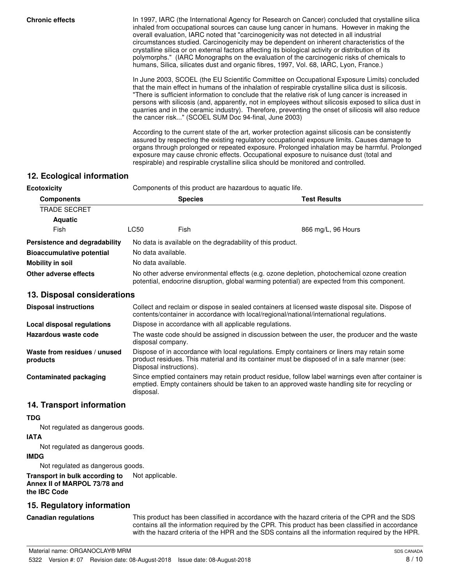**Chronic effects** In 1997, IARC (the International Agency for Research on Cancer) concluded that crystalline silica inhaled from occupational sources can cause lung cancer in humans. However in making the overall evaluation, IARC noted that "carcinogenicity was not detected in all industrial circumstances studied. Carcinogenicity may be dependent on inherent characteristics of the crystalline silica or on external factors affecting its biological activity or distribution of its polymorphs." (IARC Monographs on the evaluation of the carcinogenic risks of chemicals to humans, Silica, silicates dust and organic fibres, 1997, Vol. 68, IARC, Lyon, France.)

> In June 2003, SCOEL (the EU Scientific Committee on Occupational Exposure Limits) concluded that the main effect in humans of the inhalation of respirable crystalline silica dust is silicosis. "There is sufficient information to conclude that the relative risk of lung cancer is increased in persons with silicosis (and, apparently, not in employees without silicosis exposed to silica dust in quarries and in the ceramic industry). Therefore, preventing the onset of silicosis will also reduce the cancer risk..." (SCOEL SUM Doc 94-final, June 2003)

> According to the current state of the art, worker protection against silicosis can be consistently assured by respecting the existing regulatory occupational exposure limits. Causes damage to organs through prolonged or repeated exposure. Prolonged inhalation may be harmful. Prolonged exposure may cause chronic effects. Occupational exposure to nuisance dust (total and respirable) and respirable crystalline silica should be monitored and controlled.

## **12. Ecological information**

| <b>Ecotoxicity</b>               | Components of this product are hazardous to aquatic life.                                                                                                                                  |                |                     |  |
|----------------------------------|--------------------------------------------------------------------------------------------------------------------------------------------------------------------------------------------|----------------|---------------------|--|
| <b>Components</b>                |                                                                                                                                                                                            | <b>Species</b> | <b>Test Results</b> |  |
| TRADE SECRET                     |                                                                                                                                                                                            |                |                     |  |
| <b>Aquatic</b>                   |                                                                                                                                                                                            |                |                     |  |
| Fish                             | LC50                                                                                                                                                                                       | Fish           | 866 mg/L, 96 Hours  |  |
| Persistence and degradability    | No data is available on the degradability of this product.                                                                                                                                 |                |                     |  |
| <b>Bioaccumulative potential</b> | No data available.                                                                                                                                                                         |                |                     |  |
| Mobility in soil                 | No data available.                                                                                                                                                                         |                |                     |  |
| Other adverse effects            | No other adverse environmental effects (e.g. ozone depletion, photochemical ozone creation<br>potential, endocrine disruption, global warming potential) are expected from this component. |                |                     |  |

## **13. Disposal considerations**

| <b>Disposal instructions</b>             | Collect and reclaim or dispose in sealed containers at licensed waste disposal site. Dispose of<br>contents/container in accordance with local/regional/national/international regulations.                            |  |  |
|------------------------------------------|------------------------------------------------------------------------------------------------------------------------------------------------------------------------------------------------------------------------|--|--|
| Local disposal regulations               | Dispose in accordance with all applicable regulations.                                                                                                                                                                 |  |  |
| Hazardous waste code                     | The waste code should be assigned in discussion between the user, the producer and the waste<br>disposal company.                                                                                                      |  |  |
| Waste from residues / unused<br>products | Dispose of in accordance with local regulations. Empty containers or liners may retain some<br>product residues. This material and its container must be disposed of in a safe manner (see:<br>Disposal instructions). |  |  |
| Contaminated packaging                   | Since emptied containers may retain product residue, follow label warnings even after container is<br>emptied. Empty containers should be taken to an approved waste handling site for recycling or<br>disposal.       |  |  |

## **14. Transport information**

### **TDG**

Not regulated as dangerous goods.

### **IATA**

Not regulated as dangerous goods.

### **IMDG**

Not regulated as dangerous goods.

#### **Transport in bulk according to** Not applicable. **Annex II of MARPOL 73/78 and the IBC Code**

## **15. Regulatory information**

#### **Canadian regulations**

This product has been classified in accordance with the hazard criteria of the CPR and the SDS contains all the information required by the CPR. This product has been classified in accordance with the hazard criteria of the HPR and the SDS contains all the information required by the HPR.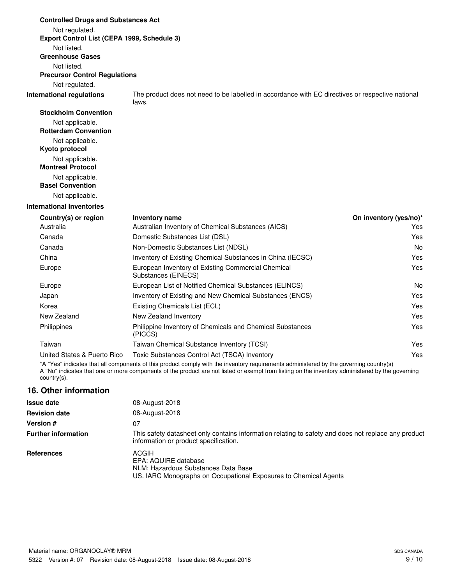| <b>Controlled Drugs and Substances Act</b>     |                                                                                                           |                        |
|------------------------------------------------|-----------------------------------------------------------------------------------------------------------|------------------------|
| Not regulated.                                 |                                                                                                           |                        |
| Export Control List (CEPA 1999, Schedule 3)    |                                                                                                           |                        |
| Not listed.                                    |                                                                                                           |                        |
| <b>Greenhouse Gases</b>                        |                                                                                                           |                        |
| Not listed.                                    |                                                                                                           |                        |
| <b>Precursor Control Regulations</b>           |                                                                                                           |                        |
| Not regulated.                                 |                                                                                                           |                        |
| <b>International regulations</b>               | The product does not need to be labelled in accordance with EC directives or respective national<br>laws. |                        |
| <b>Stockholm Convention</b>                    |                                                                                                           |                        |
| Not applicable.<br><b>Rotterdam Convention</b> |                                                                                                           |                        |
| Not applicable.                                |                                                                                                           |                        |
| Kyoto protocol                                 |                                                                                                           |                        |
| Not applicable.<br><b>Montreal Protocol</b>    |                                                                                                           |                        |
| Not applicable.                                |                                                                                                           |                        |
| <b>Basel Convention</b>                        |                                                                                                           |                        |
| Not applicable.                                |                                                                                                           |                        |
| <b>International Inventories</b>               |                                                                                                           |                        |
| Country(s) or region                           | Inventory name                                                                                            | On inventory (yes/no)* |
| Australia                                      | Australian Inventory of Chemical Substances (AICS)                                                        | Yes                    |
| Canada                                         | Domestic Substances List (DSL)                                                                            | Yes                    |
| Canada                                         | Non-Domestic Substances List (NDSL)                                                                       | No.                    |
| China                                          | Inventory of Existing Chemical Substances in China (IECSC)                                                | Yes                    |
| Europe                                         | European Inventory of Existing Commercial Chemical<br>Substances (EINECS)                                 | Yes                    |
| Europe                                         | European List of Notified Chemical Substances (ELINCS)                                                    | No                     |
| Japan                                          | Inventory of Existing and New Chemical Substances (ENCS)                                                  | Yes                    |
| Korea                                          | Existing Chemicals List (ECL)                                                                             | Yes                    |
| New Zealand                                    | New Zealand Inventory                                                                                     | Yes                    |
| Philippines                                    | Philippine Inventory of Chemicals and Chemical Substances<br>(PICCS)                                      | Yes                    |
| Taiwan                                         | Taiwan Chemical Substance Inventory (TCSI)                                                                | Yes                    |
| United States & Puerto Rico                    | Toxic Substances Control Act (TSCA) Inventory                                                             | Yes                    |

\*A "Yes" indicates that all components of this product comply with the inventory requirements administered by the governing country(s) A "No" indicates that one or more components of the product are not listed or exempt from listing on the inventory administered by the governing country(s).

## **16. Other information**

| <b>Issue date</b>          | 08-August-2018                                                                                                                               |
|----------------------------|----------------------------------------------------------------------------------------------------------------------------------------------|
| <b>Revision date</b>       | 08-August-2018                                                                                                                               |
| <b>Version #</b>           | 07                                                                                                                                           |
| <b>Further information</b> | This safety datasheet only contains information relating to safety and does not replace any product<br>information or product specification. |
| <b>References</b>          | ACGIH<br>EPA: AQUIRE database<br>NLM: Hazardous Substances Data Base<br>US. IARC Monographs on Occupational Exposures to Chemical Agents     |